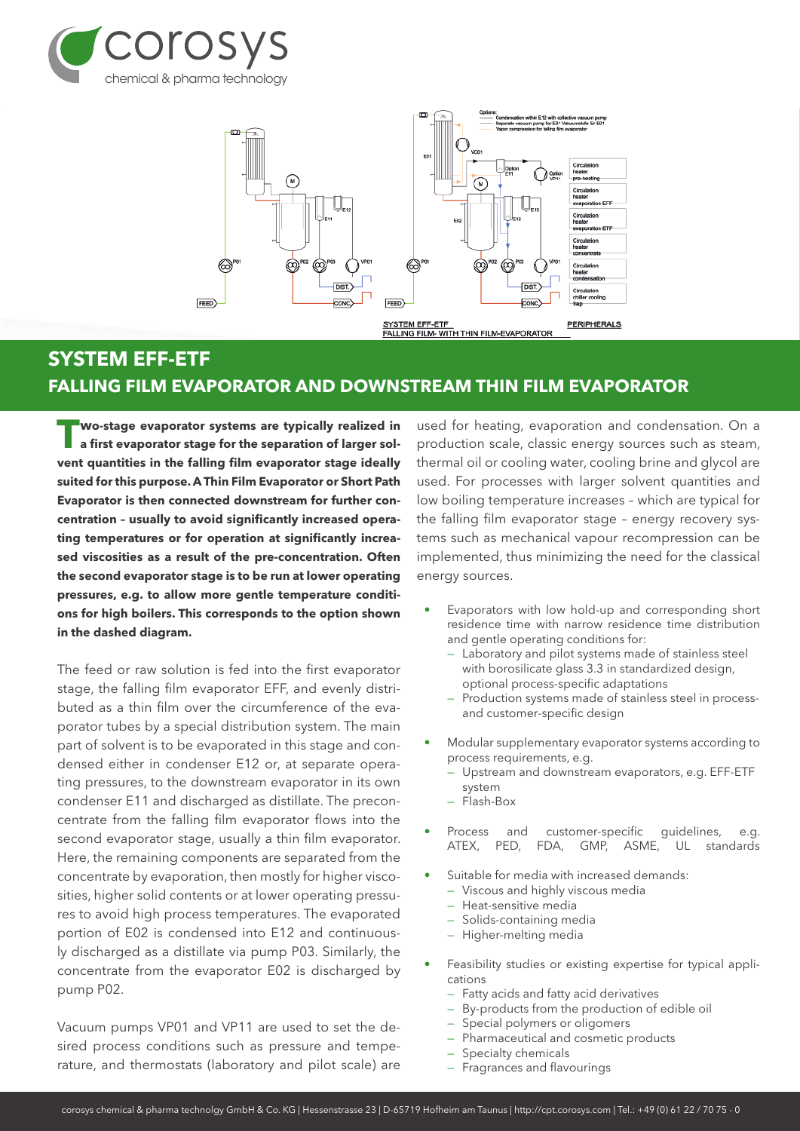



## **SYSTEM EFF-ETF FALLING FILM EVAPORATOR AND DOWNSTREAM THIN FILM EVAPORATOR**

**T**WO-stage evaporator systems are typically realized in a first evaporator stage for the separation of larger sol**vent quantities in the falling film evaporator stage ideally suited for this purpose. A Thin Film Evaporator or Short Path Evaporator is then connected downstream for further concentration – usually to avoid significantly increased operating temperatures or for operation at significantly increased viscosities as a result of the pre-concentration. Often the second evaporator stage is to be run at lower operating pressures, e.g. to allow more gentle temperature conditions for high boilers. This corresponds to the option shown in the dashed diagram.**

The feed or raw solution is fed into the first evaporator stage, the falling film evaporator EFF, and evenly distributed as a thin film over the circumference of the evaporator tubes by a special distribution system. The main part of solvent is to be evaporated in this stage and condensed either in condenser E12 or, at separate operating pressures, to the downstream evaporator in its own condenser E11 and discharged as distillate. The preconcentrate from the falling film evaporator flows into the second evaporator stage, usually a thin film evaporator. Here, the remaining components are separated from the concentrate by evaporation, then mostly for higher viscosities, higher solid contents or at lower operating pressures to avoid high process temperatures. The evaporated portion of E02 is condensed into E12 and continuously discharged as a distillate via pump P03. Similarly, the concentrate from the evaporator E02 is discharged by pump P02.

Vacuum pumps VP01 and VP11 are used to set the desired process conditions such as pressure and temperature, and thermostats (laboratory and pilot scale) are used for heating, evaporation and condensation. On a production scale, classic energy sources such as steam, thermal oil or cooling water, cooling brine and glycol are used. For processes with larger solvent quantities and low boiling temperature increases – which are typical for the falling film evaporator stage – energy recovery systems such as mechanical vapour recompression can be implemented, thus minimizing the need for the classical energy sources.

- Evaporators with low hold-up and corresponding short residence time with narrow residence time distribution and gentle operating conditions for:
	- Laboratory and pilot systems made of stainless steel with borosilicate glass 3.3 in standardized design, optional process-specific adaptations
	- Production systems made of stainless steel in processand customer-specific design
- Modular supplementary evaporator systems according to process requirements, e.g.
	- Upstream and downstream evaporators, e.g. EFF-ETF system
	- Flash-Box
- Process and customer-specific guidelines, e.g. ATEX, PED, FDA, GMP, ASME, UL standards
- Suitable for media with increased demands:
	- Viscous and highly viscous media
	- Heat-sensitive media
	- Solids-containing media
	- Higher-melting media
- Feasibility studies or existing expertise for typical applications
	- Fatty acids and fatty acid derivatives
	- By-products from the production of edible oil
	- Special polymers or oligomers
	- Pharmaceutical and cosmetic products
	- Specialty chemicals
	- Fragrances and flavourings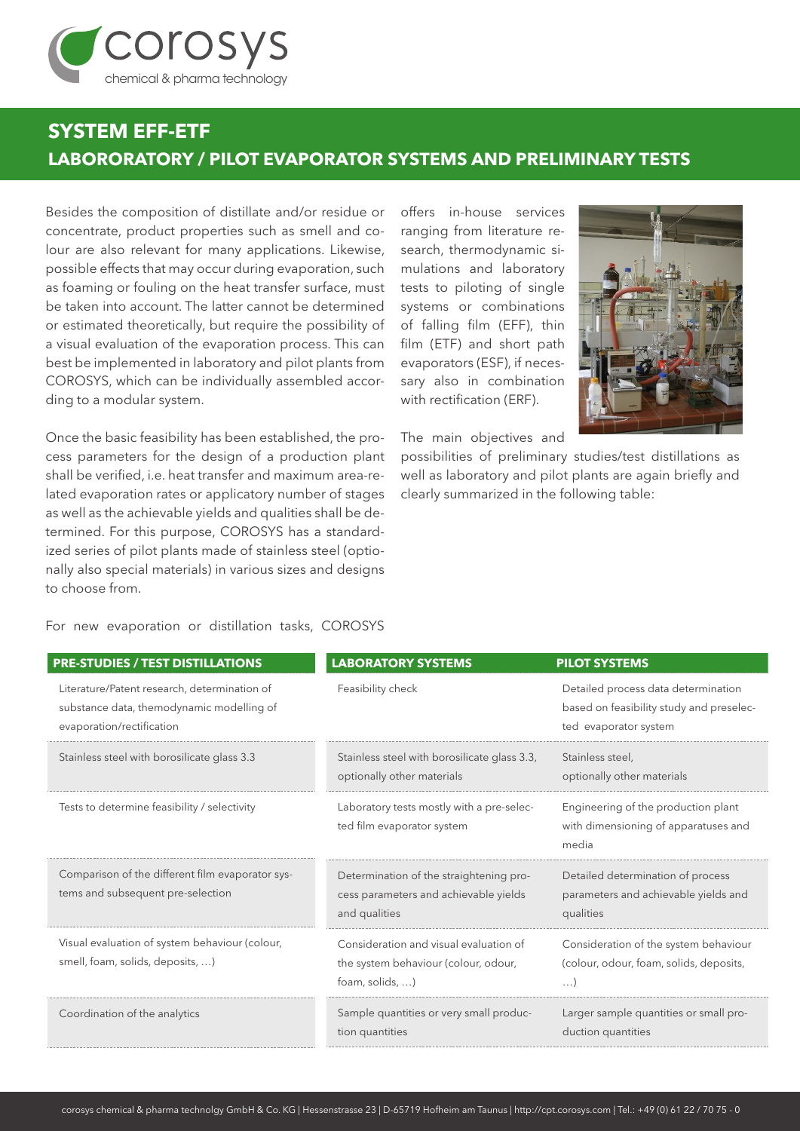

## **SYSTEM EFF-ETF LABORORATORY / PILOT EVAPORATOR SYSTEMS AND PRELIMINARY TESTS**

Besides the composition of distillate and/or residue or concentrate, product properties such as smell and colour are also relevant for many applications. Likewise, possible effects that may occur during evaporation, such as foaming or fouling on the heat transfer surface, must be taken into account. The latter cannot be determined or estimated theoretically, but require the possibility of a visual evaluation of the evaporation process. This can best be implemented in laboratory and pilot plants from COROSYS, which can be individually assembled according to a modular system.

Once the basic feasibility has been established, the process parameters for the design of a production plant shall be verified, i.e. heat transfer and maximum area-related evaporation rates or applicatory number of stages as well as the achievable yields and qualities shall be determined. For this purpose, COROSYS has a standardized series of pilot plants made of stainless steel (optionally also special materials) in various sizes and designs to choose from.

offers in-house services ranging from literature research, thermodynamic simulations and laboratory tests to piloting of single systems or combinations of falling film (EFF), thin film (ETF) and short path evaporators (ESF), if necessary also in combination with rectification (ERF).

The main objectives and

possibilities of preliminary studies/test distillations as well as laboratory and pilot plants are again briefly and clearly summarized in the following table:

For new evaporation or distillation tasks, COROSYS

| <b>PRE-STUDIES / TEST DISTILLATIONS</b>                                                                                | <b>LABORATORY SYSTEMS</b>                                                                         | <b>PILOT SYSTEMS</b>                                                                                     |
|------------------------------------------------------------------------------------------------------------------------|---------------------------------------------------------------------------------------------------|----------------------------------------------------------------------------------------------------------|
| Literature/Patent research, determination of<br>substance data, themodynamic modelling of<br>evaporation/rectification | Feasibility check                                                                                 | Detailed process data determination<br>based on feasibility study and preselec-<br>ted evaporator system |
| Stainless steel with borosilicate glass 3.3                                                                            | Stainless steel with borosilicate glass 3.3,<br>optionally other materials                        | Stainless steel,<br>optionally other materials                                                           |
| Tests to determine feasibility / selectivity                                                                           | Laboratory tests mostly with a pre-selec-<br>ted film evaporator system                           | Engineering of the production plant<br>with dimensioning of apparatuses and<br>media                     |
| Comparison of the different film evaporator sys-<br>tems and subsequent pre-selection                                  | Determination of the straightening pro-<br>cess parameters and achievable yields<br>and qualities | Detailed determination of process<br>parameters and achievable yields and<br>qualities                   |
| Visual evaluation of system behaviour (colour,<br>smell, foam, solids, deposits, )                                     | Consideration and visual evaluation of<br>the system behaviour (colour, odour,<br>foam, solids, ) | Consideration of the system behaviour<br>(colour, odour, foam, solids, deposits,<br>$\ldots$             |
| Coordination of the analytics                                                                                          | Sample quantities or very small produc-<br>tion quantities                                        | Larger sample quantities or small pro-<br>duction quantities                                             |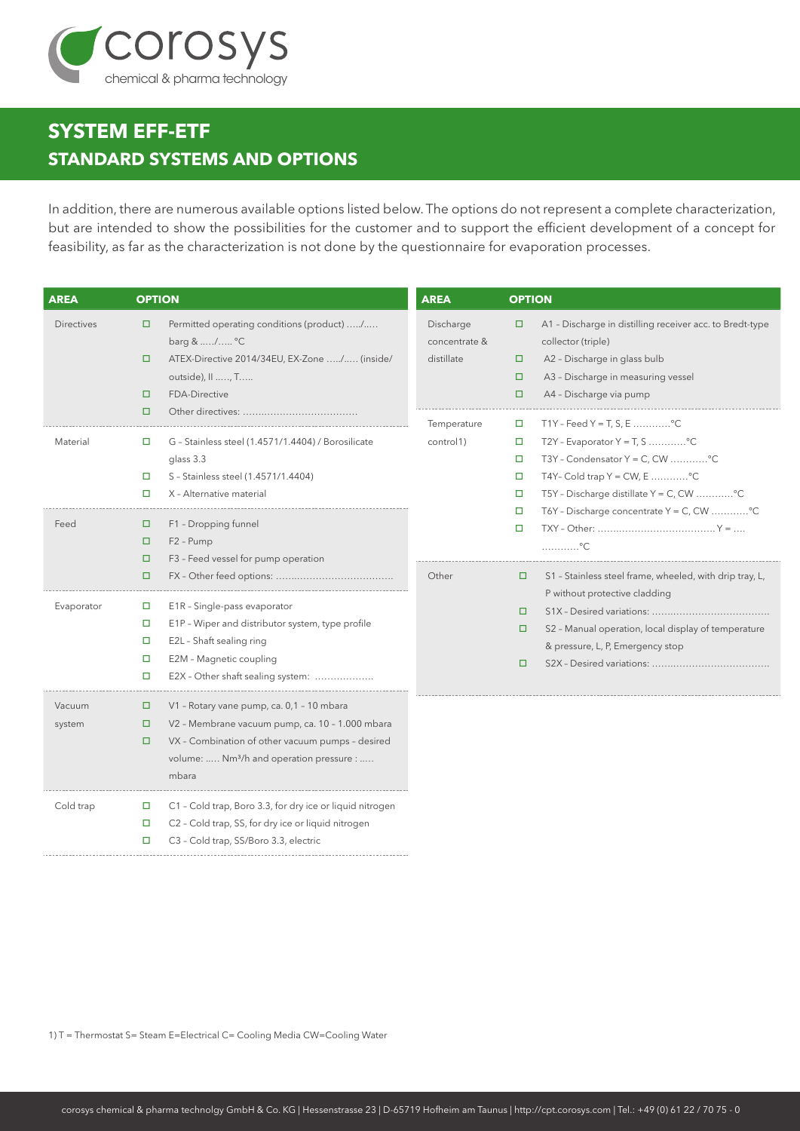

## **SYSTEM EFF-ETF STANDARD SYSTEMS AND OPTIONS**

In addition, there are numerous available options listed below. The options do not represent a complete characterization, but are intended to show the possibilities for the customer and to support the efficient development of a concept for feasibility, as far as the characterization is not done by the questionnaire for evaporation processes.

| <b>AREA</b>       |                                 | <b>OPTION</b>                                                                                                                                                                                                     | <b>AREA</b>                              | <b>OPTION</b>                             |                                                                                                                                                                                                     |
|-------------------|---------------------------------|-------------------------------------------------------------------------------------------------------------------------------------------------------------------------------------------------------------------|------------------------------------------|-------------------------------------------|-----------------------------------------------------------------------------------------------------------------------------------------------------------------------------------------------------|
| <b>Directives</b> | □<br>□<br>□                     | Permitted operating conditions (product) /<br>barg & / °C<br>ATEX-Directive 2014/34EU, EX-Zone / (inside/<br>outside), II , T<br>FDA-Directive                                                                    | Discharge<br>concentrate &<br>distillate | □<br>□<br>$\Box$<br>$\Box$                | A1 - Discharge in distilling receiver acc. to Bredt-type<br>collector (triple)<br>A2 - Discharge in glass bulb<br>A3 - Discharge in measuring vessel<br>A4 - Discharge via pump                     |
| Material          | □<br>$\Box$<br>$\Box$<br>$\Box$ | G - Stainless steel (1.4571/1.4404) / Borosilicate<br>glass 3.3<br>S - Stainless steel (1.4571/1.4404)<br>X - Alternative material                                                                                | Temperature<br>control1)                 | $\Box$<br>$\Box$<br>□<br>$\Box$<br>$\Box$ | T1Y - Feed Y = T, S, E °C<br>T2Y - Evaporator Y = T, S °C<br>T3Y - Condensator $Y = C$ , CW <sup>o</sup> C<br>T4Y- Cold trap $Y = CW$ , E <sup>o</sup> C<br>T5Y - Discharge distillate Y = C, CW °C |
| Feed              | □<br>□<br>□<br>$\Box$           | F1 - Dropping funnel<br>F <sub>2</sub> - Pump<br>F3 - Feed vessel for pump operation                                                                                                                              | Other                                    | $\Box$<br>$\Box$<br>□                     | T6Y - Discharge concentrate Y = C, CW °C<br>. <sup>o</sup> C.<br>S1 - Stainless steel frame, wheeled, with drip tray, L,                                                                            |
| Evaporator        | o<br>□<br>□<br>□<br>□           | E1R - Single-pass evaporator<br>E1P - Wiper and distributor system, type profile<br>E2L - Shaft sealing ring<br>E2M - Magnetic coupling<br>E2X - Other shaft sealing system:                                      |                                          | □<br>□<br>□                               | P without protective cladding<br>S2 - Manual operation, local display of temperature<br>& pressure, L, P, Emergency stop                                                                            |
| Vacuum<br>system  | □<br>□<br>□                     | V1 - Rotary vane pump, ca. 0,1 - 10 mbara<br>V2 - Membrane vacuum pump, ca. 10 - 1.000 mbara<br>VX - Combination of other vacuum pumps - desired<br>volume:  Nm <sup>3</sup> /h and operation pressure :<br>mbara |                                          |                                           |                                                                                                                                                                                                     |
| Cold trap         | $\Box$<br>□<br>□                | C1 - Cold trap, Boro 3.3, for dry ice or liquid nitrogen<br>C2 - Cold trap, SS, for dry ice or liquid nitrogen<br>C3 - Cold trap, SS/Boro 3.3, electric                                                           |                                          |                                           |                                                                                                                                                                                                     |

1) T = Thermostat S= Steam E=Electrical C= Cooling Media CW=Cooling Water